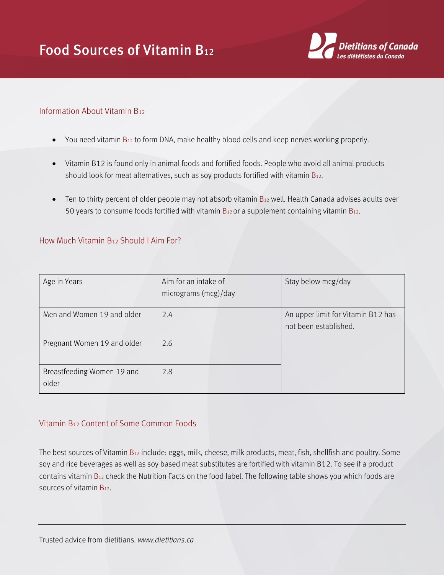

## Information About Vitamin B<sup>12</sup>

- $\bullet$  You need vitamin  $B_{12}$  to form DNA, make healthy blood cells and keep nerves working properly.
- Vitamin B12 is found only in animal foods and fortified foods. People who avoid all animal products should look for meat alternatives, such as soy products fortified with vitamin  $B_{12}$ .
- $\bullet$  Ten to thirty percent of older people may not absorb vitamin  $B_{12}$  well. Health Canada advises adults over 50 years to consume foods fortified with vitamin  $B_{12}$  or a supplement containing vitamin  $B_{12}$ .

## How Much Vitamin B<sup>12</sup> Should I Aim For?

| Age in Years                        | Aim for an intake of<br>micrograms (mcg)/day | Stay below mcg/day                                          |
|-------------------------------------|----------------------------------------------|-------------------------------------------------------------|
| Men and Women 19 and older          | 2.4                                          | An upper limit for Vitamin B12 has<br>not been established. |
| Pregnant Women 19 and older         | 2.6                                          |                                                             |
| Breastfeeding Women 19 and<br>older | 2.8                                          |                                                             |

## Vitamin B<sup>12</sup> Content of Some Common Foods

The best sources of Vitamin B<sup>12</sup> include: eggs, milk, cheese, milk products, meat, fish, shellfish and poultry. Some soy and rice beverages as well as soy based meat substitutes are fortified with vitamin B12. To see if a product contains vitamin B<sup>12</sup> check the Nutrition Facts on the food label. The following table shows you which foods are sources of vitamin B12.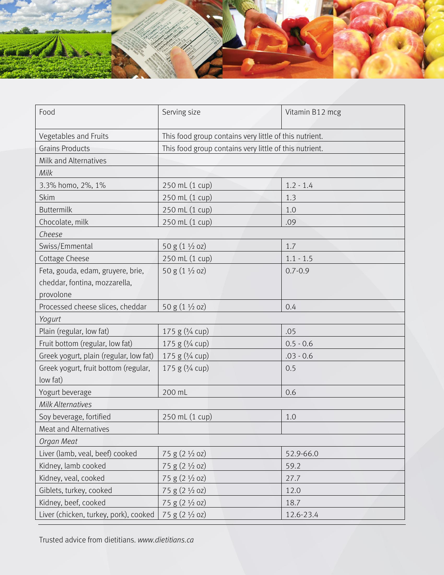

| Food                                   | Serving size                                           | Vitamin B12 mcg |  |  |
|----------------------------------------|--------------------------------------------------------|-----------------|--|--|
| Vegetables and Fruits                  | This food group contains very little of this nutrient. |                 |  |  |
| <b>Grains Products</b>                 | This food group contains very little of this nutrient. |                 |  |  |
| Milk and Alternatives                  |                                                        |                 |  |  |
| Milk                                   |                                                        |                 |  |  |
| 3.3% homo, 2%, 1%                      | 250 mL (1 cup)                                         | $1.2 - 1.4$     |  |  |
| Skim                                   | 250 mL (1 cup)                                         | 1.3             |  |  |
| <b>Buttermilk</b>                      | 250 mL (1 cup)                                         | 1.0             |  |  |
| Chocolate, milk                        | 250 mL (1 cup)                                         | .09             |  |  |
| Cheese                                 |                                                        |                 |  |  |
| Swiss/Emmental                         | 50 g $(1 \frac{1}{2}$ oz)                              | 1.7             |  |  |
| Cottage Cheese                         | 250 mL (1 cup)                                         | $1.1 - 1.5$     |  |  |
| Feta, gouda, edam, gruyere, brie,      | 50 g (1 1/2 oz)                                        | $0.7 - 0.9$     |  |  |
| cheddar, fontina, mozzarella,          |                                                        |                 |  |  |
| provolone                              |                                                        |                 |  |  |
| Processed cheese slices, cheddar       | 50 g $(1 \frac{1}{2}$ oz)                              | 0.4             |  |  |
| Yogurt                                 |                                                        |                 |  |  |
| Plain (regular, low fat)               | 175 g $(3/4$ cup)                                      | .05             |  |  |
| Fruit bottom (regular, low fat)        | 175 g (3/4 cup)                                        | $0.5 - 0.6$     |  |  |
| Greek yogurt, plain (regular, low fat) | 175 g (3/4 cup)                                        | $.03 - 0.6$     |  |  |
| Greek yogurt, fruit bottom (regular,   | 175 g (3/4 cup)                                        | 0.5             |  |  |
| low fat)                               |                                                        |                 |  |  |
| Yogurt beverage                        | 200 mL                                                 | 0.6             |  |  |
| <b>Milk Alternatives</b>               |                                                        |                 |  |  |
| Soy beverage, fortified                | 250 mL (1 cup)                                         | 1.0             |  |  |
| Meat and Alternatives                  |                                                        |                 |  |  |
| Organ Meat                             |                                                        |                 |  |  |
| Liver (lamb, veal, beef) cooked        | $75 g (2 \frac{1}{2} oz)$                              | 52.9-66.0       |  |  |
| Kidney, lamb cooked                    | 75 g (2 1/2 oz)                                        | 59.2            |  |  |
| Kidney, veal, cooked                   | $75 g (2 \frac{1}{2} oz)$                              | 27.7            |  |  |
| Giblets, turkey, cooked                | 75 g (2 1/2 oz)                                        | 12.0            |  |  |
| Kidney, beef, cooked                   | 75 g (2 1/2 oz)                                        | 18.7            |  |  |
| Liver (chicken, turkey, pork), cooked  | 75 g (2 1/2 oz)                                        | 12.6-23.4       |  |  |

Trusted advice from dietitians. *www.dietitians.ca*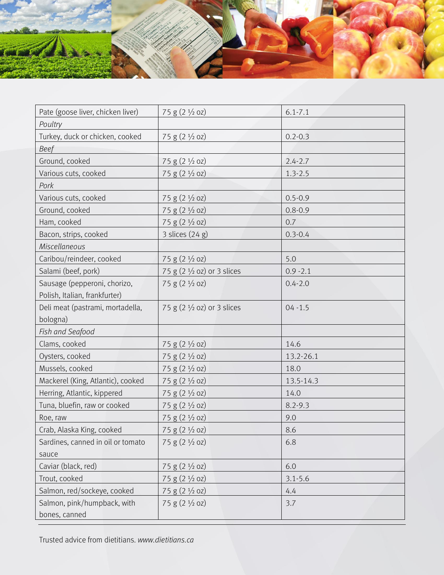

| Pate (goose liver, chicken liver) | 75 g (2 1/2 oz)                       | $6.1 - 7.1$ |
|-----------------------------------|---------------------------------------|-------------|
| Poultry                           |                                       |             |
| Turkey, duck or chicken, cooked   | 75 g (2 1/2 oz)                       | $0.2 - 0.3$ |
| <b>Beef</b>                       |                                       |             |
| Ground, cooked                    | $75 g (2 \frac{1}{2} oz)$             | $2.4 - 2.7$ |
| Various cuts, cooked              | $75 g (2 \frac{1}{2} oz)$             | $1.3 - 2.5$ |
| Pork                              |                                       |             |
| Various cuts, cooked              | $75 g (2 \frac{1}{2} oz)$             | $0.5 - 0.9$ |
| Ground, cooked                    | 75 g (2 1/2 oz)                       | $0.8 - 0.9$ |
| Ham, cooked                       | 75 g (2 1/2 oz)                       | 0.7         |
| Bacon, strips, cooked             | 3 slices (24 g)                       | $0.3 - 0.4$ |
| Miscellaneous                     |                                       |             |
| Caribou/reindeer, cooked          | 75 g (2 1/2 oz)                       | 5.0         |
| Salami (beef, pork)               | 75 g (2 1/2 oz) or 3 slices           | $0.9 - 2.1$ |
| Sausage (pepperoni, chorizo,      | 75 g (2 1/2 oz)                       | $0.4 - 2.0$ |
| Polish, Italian, frankfurter)     |                                       |             |
| Deli meat (pastrami, mortadella,  | 75 g $(2 \frac{1}{2}$ oz) or 3 slices | $04 - 1.5$  |
| bologna)                          |                                       |             |
| Fish and Seafood                  |                                       |             |
| Clams, cooked                     | 75 g (2 1/2 oz)                       | 14.6        |
| Oysters, cooked                   | $75 g (2 \frac{1}{2} oz)$             | 13.2-26.1   |
| Mussels, cooked                   | 75 g (2 1/2 oz)                       | 18.0        |
| Mackerel (King, Atlantic), cooked | 75 g (2 1/2 oz)                       | 13.5-14.3   |
| Herring, Atlantic, kippered       | 75 g (2 1/2 oz)                       | 14.0        |
| Tuna, bluefin, raw or cooked      | 75 g (2 1/2 oz)                       | $8.2 - 9.3$ |
| Roe, raw                          | $75 g (2 \frac{1}{2} oz)$             | 9.0         |
| Crab, Alaska King, cooked         | 75 g (2 1/2 oz)                       | 8.6         |
| Sardines, canned in oil or tomato | 75 g (2 1/2 oz)                       | 6.8         |
| sauce                             |                                       |             |
| Caviar (black, red)               | $75 g (2 \frac{1}{2} oz)$             | 6.0         |
| Trout, cooked                     | $75 g (2 \frac{1}{2} oz)$             | $3.1 - 5.6$ |
| Salmon, red/sockeye, cooked       | 75 g (2 1/2 oz)                       | 4.4         |
| Salmon, pink/humpback, with       | 75 g (2 1/2 oz)                       | 3.7         |
| bones, canned                     |                                       |             |

Trusted advice from dietitians. *www.dietitians.ca*